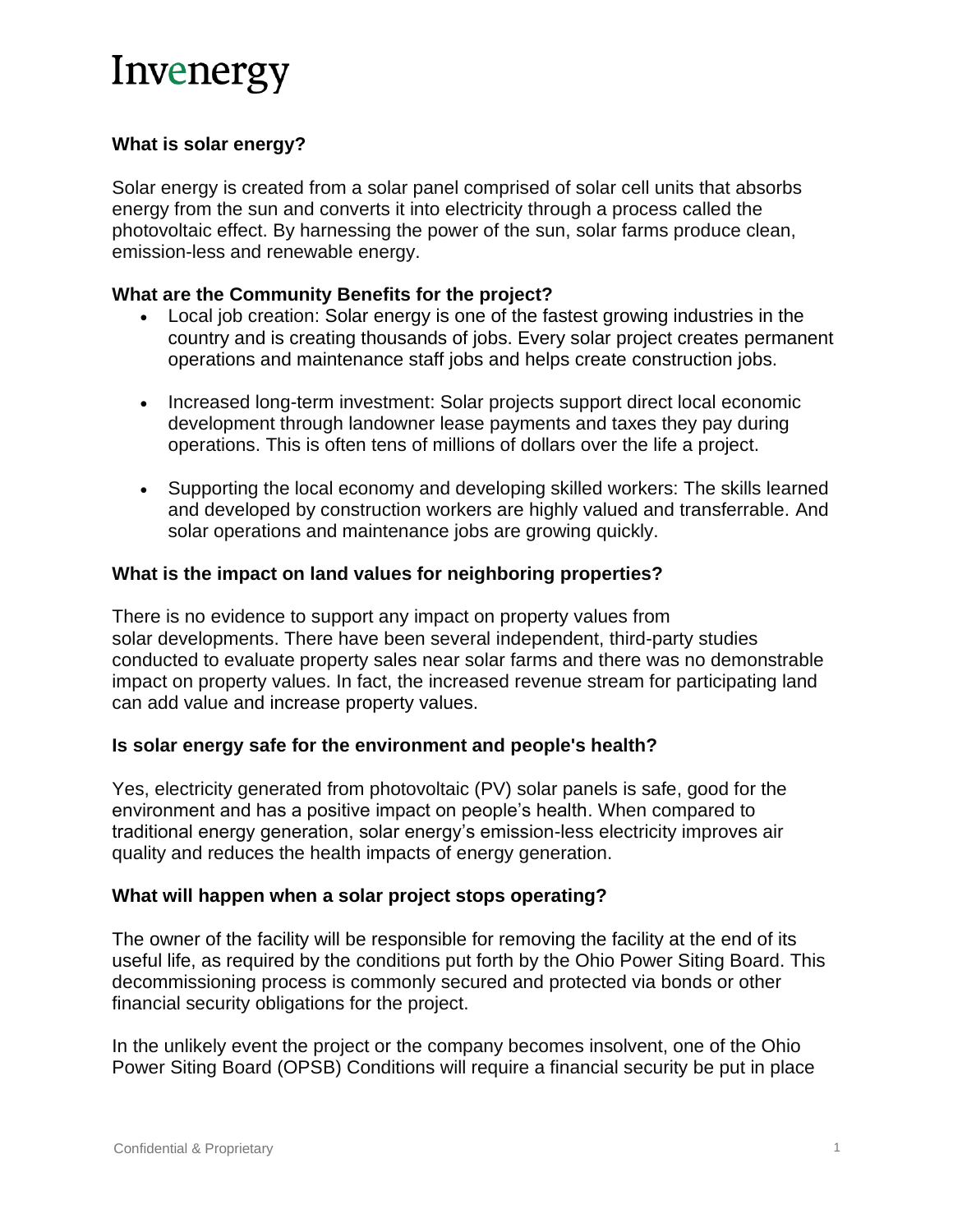# **What is solar energy?**

Solar energy is created from a solar panel comprised of solar cell units that absorbs energy from the sun and converts it into electricity through a process called the photovoltaic effect. By harnessing the power of the sun, solar farms produce clean, emission-less and renewable energy.

### **What are the Community Benefits for the project?**

- Local job creation: Solar energy is one of the fastest growing industries in the country and is creating thousands of jobs. Every solar project creates permanent operations and maintenance staff jobs and helps create construction jobs.
- Increased long-term investment: Solar projects support direct local economic development through landowner lease payments and taxes they pay during operations. This is often tens of millions of dollars over the life a project.
- Supporting the local economy and developing skilled workers: The skills learned and developed by construction workers are highly valued and transferrable. And solar operations and maintenance jobs are growing quickly.

### **What is the impact on land values for neighboring properties?**

There is no evidence to support any impact on property values from solar developments. There have been several independent, third-party studies conducted to evaluate property sales near solar farms and there was no demonstrable impact on property values. In fact, the increased revenue stream for participating land can add value and increase property values.

#### **Is solar energy safe for the environment and people's health?**

Yes, electricity generated from photovoltaic (PV) solar panels is safe, good for the environment and has a positive impact on people's health. When compared to traditional energy generation, solar energy's emission-less electricity improves air quality and reduces the health impacts of energy generation.

### **What will happen when a solar project stops operating?**

The owner of the facility will be responsible for removing the facility at the end of its useful life, as required by the conditions put forth by the Ohio Power Siting Board. This decommissioning process is commonly secured and protected via bonds or other financial security obligations for the project.

In the unlikely event the project or the company becomes insolvent, one of the Ohio Power Siting Board (OPSB) Conditions will require a financial security be put in place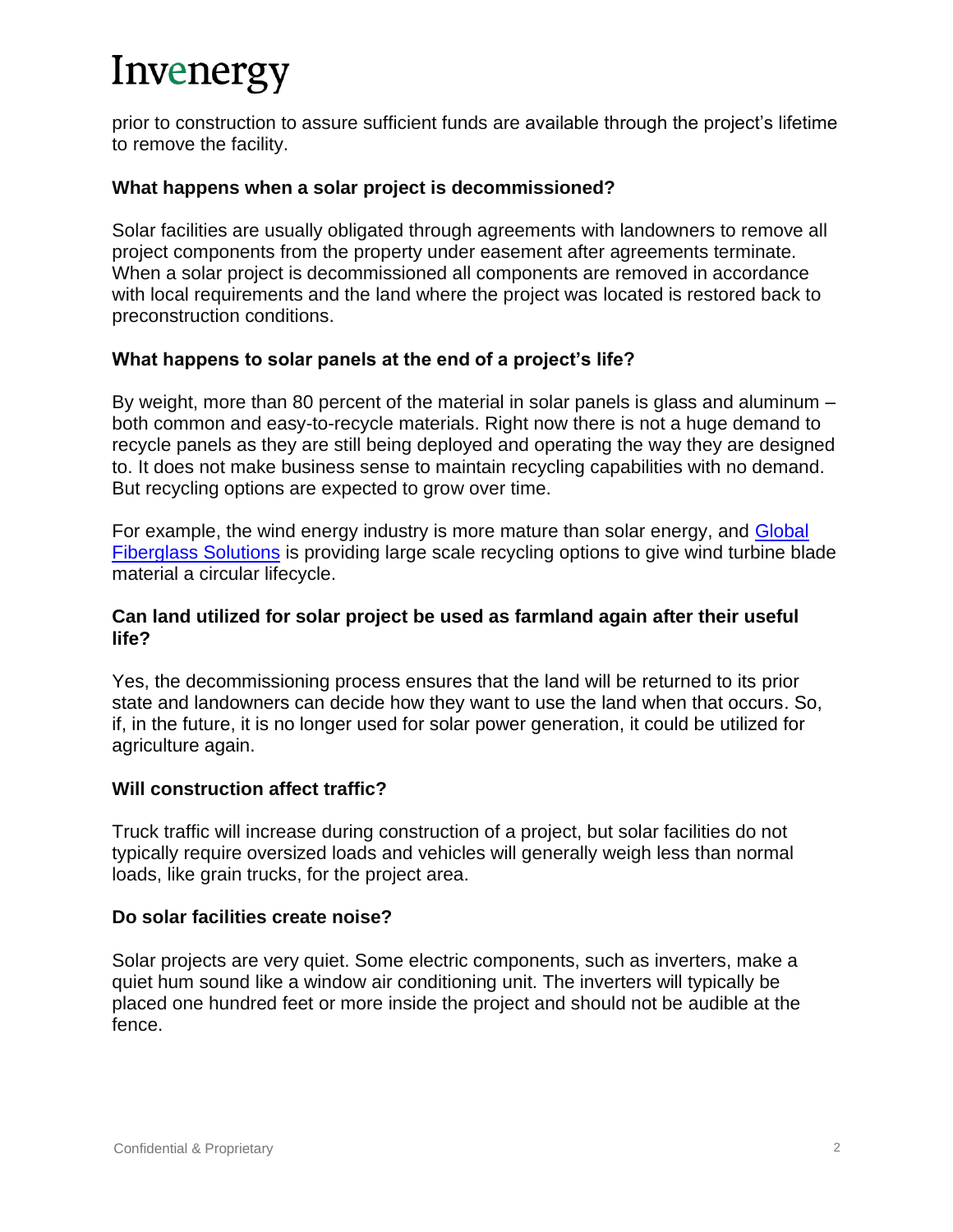prior to construction to assure sufficient funds are available through the project's lifetime to remove the facility.

### **What happens when a solar project is decommissioned?**

Solar facilities are usually obligated through agreements with landowners to remove all project components from the property under easement after agreements terminate. When a solar project is decommissioned all components are removed in accordance with local requirements and the land where the project was located is restored back to preconstruction conditions.

### **What happens to solar panels at the end of a project's life?**

By weight, more than 80 percent of the material in solar panels is glass and aluminum – both common and easy-to-recycle materials. Right now there is not a huge demand to recycle panels as they are still being deployed and operating the way they are designed to. It does not make business sense to maintain recycling capabilities with no demand. But recycling options are expected to grow over time.

For example, the wind energy industry is more mature than solar energy, and [Global](https://www.globalfiberglassinc.com/)  [Fiberglass Solutions](https://www.globalfiberglassinc.com/) is providing large scale recycling options to give wind turbine blade material a circular lifecycle.

### **Can land utilized for solar project be used as farmland again after their useful life?**

Yes, the decommissioning process ensures that the land will be returned to its prior state and landowners can decide how they want to use the land when that occurs. So, if, in the future, it is no longer used for solar power generation, it could be utilized for agriculture again.

#### **Will construction affect traffic?**

Truck traffic will increase during construction of a project, but solar facilities do not typically require oversized loads and vehicles will generally weigh less than normal loads, like grain trucks, for the project area.

#### **Do solar facilities create noise?**

Solar projects are very quiet. Some electric components, such as inverters, make a quiet hum sound like a window air conditioning unit. The inverters will typically be placed one hundred feet or more inside the project and should not be audible at the fence.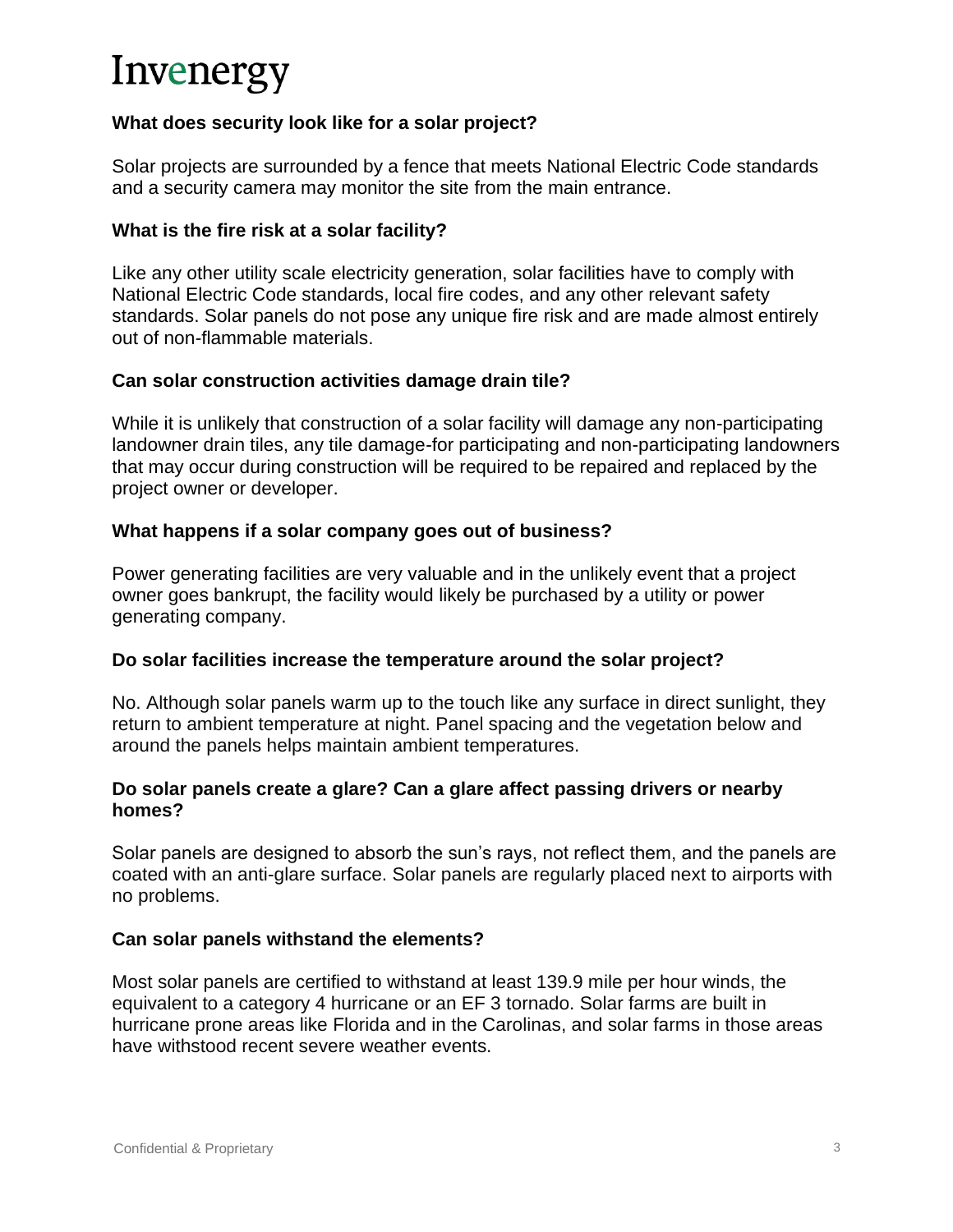### **What does security look like for a solar project?**

Solar projects are surrounded by a fence that meets National Electric Code standards and a security camera may monitor the site from the main entrance.

### **What is the fire risk at a solar facility?**

Like any other utility scale electricity generation, solar facilities have to comply with National Electric Code standards, local fire codes, and any other relevant safety standards. Solar panels do not pose any unique fire risk and are made almost entirely out of non-flammable materials.

### **Can solar construction activities damage drain tile?**

While it is unlikely that construction of a solar facility will damage any non-participating landowner drain tiles, any tile damage-for participating and non-participating landowners that may occur during construction will be required to be repaired and replaced by the project owner or developer.

### **What happens if a solar company goes out of business?**

Power generating facilities are very valuable and in the unlikely event that a project owner goes bankrupt, the facility would likely be purchased by a utility or power generating company.

### **Do solar facilities increase the temperature around the solar project?**

No. Although solar panels warm up to the touch like any surface in direct sunlight, they return to ambient temperature at night. Panel spacing and the vegetation below and around the panels helps maintain ambient temperatures.

### **Do solar panels create a glare? Can a glare affect passing drivers or nearby homes?**

Solar panels are designed to absorb the sun's rays, not reflect them, and the panels are coated with an anti-glare surface. Solar panels are regularly placed next to airports with no problems.

### **Can solar panels withstand the elements?**

Most solar panels are certified to withstand at least 139.9 mile per hour winds, the equivalent to a category 4 hurricane or an EF 3 tornado. Solar farms are built in hurricane prone areas like Florida and in the Carolinas, and solar farms in those areas have withstood recent severe weather events.